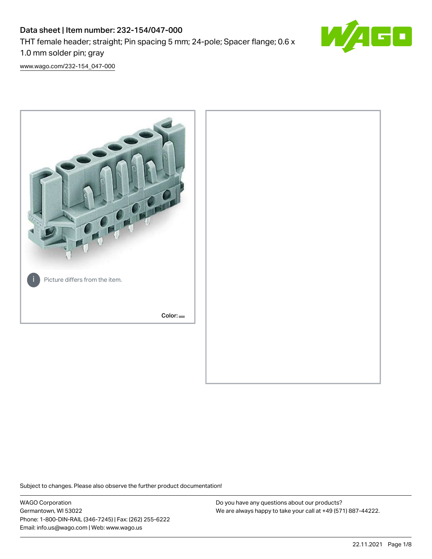# Data sheet | Item number: 232-154/047-000 THT female header; straight; Pin spacing 5 mm; 24-pole; Spacer flange; 0.6 x 1.0 mm solder pin; gray



[www.wago.com/232-154\\_047-000](http://www.wago.com/232-154_047-000)



Subject to changes. Please also observe the further product documentation!

WAGO Corporation Germantown, WI 53022 Phone: 1-800-DIN-RAIL (346-7245) | Fax: (262) 255-6222 Email: info.us@wago.com | Web: www.wago.us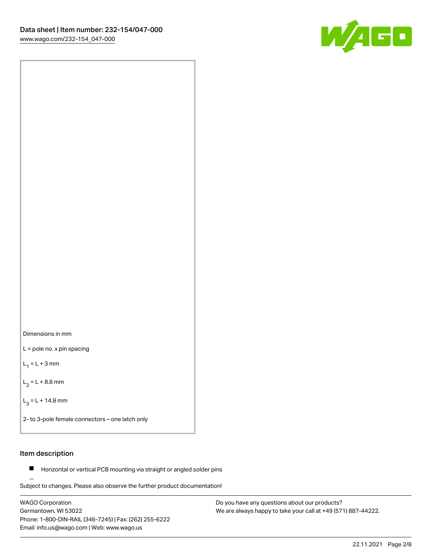



L = pole no. x pin spacing

 $L_1 = L + 3$  mm

 $L_2 = L + 8.8$  mm

 $L_3 = L + 14.8$  mm

2- to 3-pole female connectors – one latch only

## Item description

**Horizontal or vertical PCB mounting via straight or angled solder pins** 

Subject to changes. Please also observe the further product documentation! For board-to-board and board-to-wire connections

WAGO Corporation Germantown, WI 53022 Phone: 1-800-DIN-RAIL (346-7245) | Fax: (262) 255-6222 Email: info.us@wago.com | Web: www.wago.us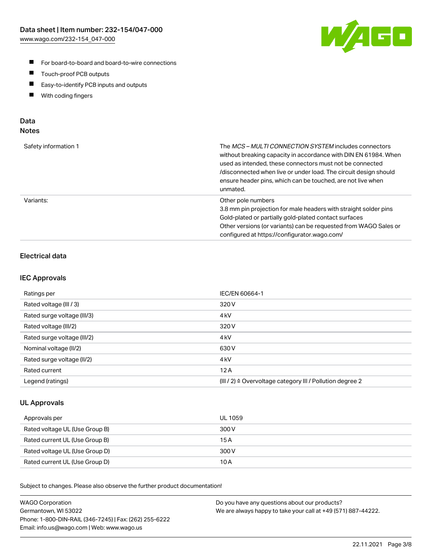

- For board-to-board and board-to-wire connections
- $\blacksquare$ Touch-proof PCB outputs
- $\blacksquare$ Easy-to-identify PCB inputs and outputs
- $\blacksquare$ With coding fingers

### Data **Notes**

| Safety information 1 | The <i>MCS – MULTI CONNECTION SYSTEM</i> includes connectors<br>without breaking capacity in accordance with DIN EN 61984. When<br>used as intended, these connectors must not be connected<br>/disconnected when live or under load. The circuit design should<br>ensure header pins, which can be touched, are not live when<br>unmated. |
|----------------------|--------------------------------------------------------------------------------------------------------------------------------------------------------------------------------------------------------------------------------------------------------------------------------------------------------------------------------------------|
| Variants:            | Other pole numbers<br>3.8 mm pin projection for male headers with straight solder pins<br>Gold-plated or partially gold-plated contact surfaces<br>Other versions (or variants) can be requested from WAGO Sales or<br>configured at https://configurator.wago.com/                                                                        |

## Electrical data

#### IEC Approvals

| Ratings per                 | IEC/EN 60664-1                                                        |
|-----------------------------|-----------------------------------------------------------------------|
| Rated voltage (III / 3)     | 320 V                                                                 |
| Rated surge voltage (III/3) | 4 <sub>k</sub> V                                                      |
| Rated voltage (III/2)       | 320 V                                                                 |
| Rated surge voltage (III/2) | 4 <sub>k</sub> V                                                      |
| Nominal voltage (II/2)      | 630 V                                                                 |
| Rated surge voltage (II/2)  | 4 <sub>kV</sub>                                                       |
| Rated current               | 12A                                                                   |
| Legend (ratings)            | $(III / 2)$ $\triangle$ Overvoltage category III / Pollution degree 2 |

#### UL Approvals

| Approvals per                  | UL 1059 |
|--------------------------------|---------|
| Rated voltage UL (Use Group B) | 300 V   |
| Rated current UL (Use Group B) | 15 A    |
| Rated voltage UL (Use Group D) | 300 V   |
| Rated current UL (Use Group D) | 10 A    |

Subject to changes. Please also observe the further product documentation!

| <b>WAGO Corporation</b>                                | Do you have any questions about our products?                 |
|--------------------------------------------------------|---------------------------------------------------------------|
| Germantown, WI 53022                                   | We are always happy to take your call at +49 (571) 887-44222. |
| Phone: 1-800-DIN-RAIL (346-7245)   Fax: (262) 255-6222 |                                                               |
| Email: info.us@wago.com   Web: www.wago.us             |                                                               |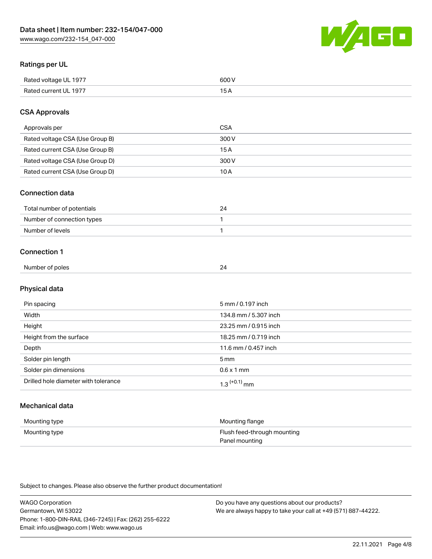

## Ratings per UL

| Rated voltage UL 1977                | COO V<br>ור |
|--------------------------------------|-------------|
| <b>Rated</b><br>UL 1977<br>curront l | _____       |

## CSA Approvals

| Approvals per                   | CSA   |
|---------------------------------|-------|
| Rated voltage CSA (Use Group B) | 300 V |
| Rated current CSA (Use Group B) | 15 A  |
| Rated voltage CSA (Use Group D) | 300 V |
| Rated current CSA (Use Group D) | 10 A  |

#### Connection data

| Total number of potentials |  |
|----------------------------|--|
| Number of connection types |  |
| Number of levels           |  |

#### Connection 1

| Number of poles |  |
|-----------------|--|
|                 |  |

# Physical data

| Pin spacing                          | 5 mm / 0.197 inch          |
|--------------------------------------|----------------------------|
| Width                                | 134.8 mm / 5.307 inch      |
| Height                               | 23.25 mm / 0.915 inch      |
| Height from the surface              | 18.25 mm / 0.719 inch      |
| Depth                                | 11.6 mm / 0.457 inch       |
| Solder pin length                    | $5 \,\mathrm{mm}$          |
| Solder pin dimensions                | $0.6 \times 1$ mm          |
| Drilled hole diameter with tolerance | $1.3$ <sup>(+0.1)</sup> mm |

# Mechanical data

| Mounting type | Mounting flange             |
|---------------|-----------------------------|
| Mounting type | Flush feed-through mounting |
|               | Panel mounting              |

Subject to changes. Please also observe the further product documentation!

| <b>WAGO Corporation</b>                                | Do you have any questions about our products?                 |
|--------------------------------------------------------|---------------------------------------------------------------|
| Germantown, WI 53022                                   | We are always happy to take your call at +49 (571) 887-44222. |
| Phone: 1-800-DIN-RAIL (346-7245)   Fax: (262) 255-6222 |                                                               |
| Email: info.us@wago.com   Web: www.wago.us             |                                                               |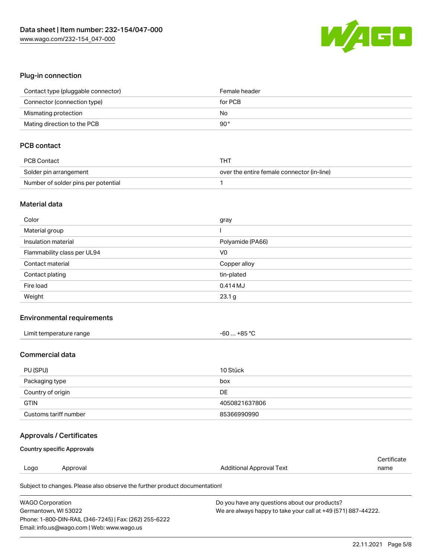

## Plug-in connection

| Contact type (pluggable connector) | Female header |
|------------------------------------|---------------|
| Connector (connection type)        | for PCB       |
| Mismating protection               | No            |
| Mating direction to the PCB        | 90°           |

# PCB contact

| PCB Contact                         | THT                                        |
|-------------------------------------|--------------------------------------------|
| Solder pin arrangement              | over the entire female connector (in-line) |
| Number of solder pins per potential |                                            |

#### Material data

| Color                       | gray             |
|-----------------------------|------------------|
| Material group              |                  |
| Insulation material         | Polyamide (PA66) |
| Flammability class per UL94 | V <sub>0</sub>   |
| Contact material            | Copper alloy     |
| Contact plating             | tin-plated       |
| Fire load                   | 0.414 MJ         |
| Weight                      | 23.1 g           |

#### Environmental requirements

| Limit temperature range | $-60+85 °C$ |
|-------------------------|-------------|
|-------------------------|-------------|

#### Commercial data

| PU (SPU)              | 10 Stück      |
|-----------------------|---------------|
| Packaging type        | box           |
| Country of origin     | DE            |
| <b>GTIN</b>           | 4050821637806 |
| Customs tariff number | 85366990990   |

## Approvals / Certificates

#### Country specific Approvals

|      |          |                          | ∩ertificate |
|------|----------|--------------------------|-------------|
| Logo | Approval | Additional Approval Text | name        |
|      |          |                          |             |

Subject to changes. Please also observe the further product documentation!

| <b>WAGO Corporation</b>                                | Do you have any questions about our products?                 |
|--------------------------------------------------------|---------------------------------------------------------------|
| Germantown, WI 53022                                   | We are always happy to take your call at +49 (571) 887-44222. |
| Phone: 1-800-DIN-RAIL (346-7245)   Fax: (262) 255-6222 |                                                               |
| Email: info.us@wago.com   Web: www.wago.us             |                                                               |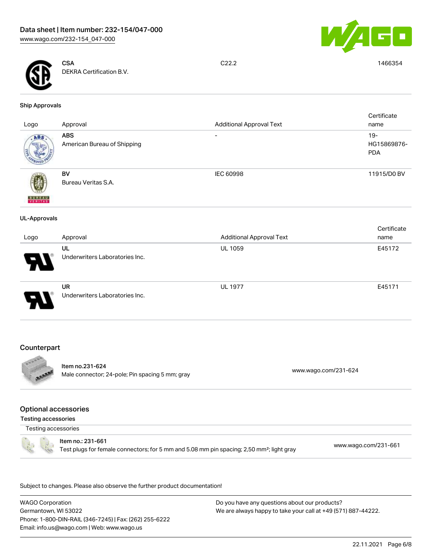



**CSA** DEKRA Certification B.V.

C22.2 1466354

#### Ship Approvals

| Logo                | Approval                                    | <b>Additional Approval Text</b> | Certificate<br>name                 |
|---------------------|---------------------------------------------|---------------------------------|-------------------------------------|
| ABS                 | <b>ABS</b><br>American Bureau of Shipping   | -                               | $19 -$<br>HG15869876-<br><b>PDA</b> |
| <b>BUNEAU</b>       | BV<br>Bureau Veritas S.A.                   | IEC 60998                       | 11915/D0 BV                         |
| <b>UL-Approvals</b> |                                             |                                 |                                     |
| Logo                | Approval                                    | <b>Additional Approval Text</b> | Certificate<br>name                 |
|                     | <b>UL</b><br>Underwriters Laboratories Inc. | <b>UL 1059</b>                  | E45172                              |
|                     | UR<br>Underwriters Laboratories Inc.        | <b>UL 1977</b>                  | E45171                              |

## **Counterpart**



#### Item no.231-624 Male connector; 24-pole; Pin spacing 5 mm; gray [www.wago.com/231-624](https://www.wago.com/231-624)

#### Optional accessories

Testing accessories

Testing accessories



# Item no.: 231-661

Test plugs for female connectors; for 5 mm and 5.08 mm pin spacing; 2,50 mm²; light gray [www.wago.com/231-661](http://www.wago.com/231-661)

.<br>Subject to changes. Please also observe the further product documentation!

WAGO Corporation Germantown, WI 53022 Phone: 1-800-DIN-RAIL (346-7245) | Fax: (262) 255-6222 Email: info.us@wago.com | Web: www.wago.us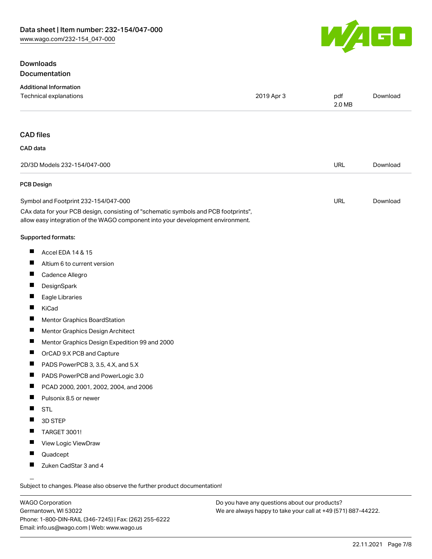## **Downloads** Documentation



| <b>Additional Information</b><br>Technical explanations                                                                                                                | 2019 Apr 3 | pdf    | Download |
|------------------------------------------------------------------------------------------------------------------------------------------------------------------------|------------|--------|----------|
|                                                                                                                                                                        |            | 2.0 MB |          |
|                                                                                                                                                                        |            |        |          |
| <b>CAD files</b>                                                                                                                                                       |            |        |          |
| CAD data                                                                                                                                                               |            |        |          |
| 2D/3D Models 232-154/047-000                                                                                                                                           |            | URL    | Download |
| <b>PCB Design</b>                                                                                                                                                      |            |        |          |
| Symbol and Footprint 232-154/047-000                                                                                                                                   |            | URL    | Download |
| CAx data for your PCB design, consisting of "schematic symbols and PCB footprints",<br>allow easy integration of the WAGO component into your development environment. |            |        |          |
| Supported formats:                                                                                                                                                     |            |        |          |
| ш<br>Accel EDA 14 & 15                                                                                                                                                 |            |        |          |
| щ<br>Altium 6 to current version                                                                                                                                       |            |        |          |
| Cadence Allegro                                                                                                                                                        |            |        |          |
| ш<br>DesignSpark                                                                                                                                                       |            |        |          |
| ш<br>Eagle Libraries                                                                                                                                                   |            |        |          |
| П<br>KiCad                                                                                                                                                             |            |        |          |
| ш<br>Mentor Graphics BoardStation                                                                                                                                      |            |        |          |
| ш<br>Mentor Graphics Design Architect                                                                                                                                  |            |        |          |
| П<br>Mentor Graphics Design Expedition 99 and 2000                                                                                                                     |            |        |          |
| Ш<br>OrCAD 9.X PCB and Capture                                                                                                                                         |            |        |          |
| Ш<br>PADS PowerPCB 3, 3.5, 4.X, and 5.X                                                                                                                                |            |        |          |
| ш<br>PADS PowerPCB and PowerLogic 3.0                                                                                                                                  |            |        |          |
| Ш<br>PCAD 2000, 2001, 2002, 2004, and 2006                                                                                                                             |            |        |          |
| ш<br>Pulsonix 8.5 or newer                                                                                                                                             |            |        |          |
| <b>STL</b>                                                                                                                                                             |            |        |          |
| 3D STEP                                                                                                                                                                |            |        |          |
| <b>TARGET 3001!</b>                                                                                                                                                    |            |        |          |
| View Logic ViewDraw<br>П                                                                                                                                               |            |        |          |
| Quadcept<br>ш                                                                                                                                                          |            |        |          |
| Zuken CadStar 3 and 4                                                                                                                                                  |            |        |          |
| $\overline{\phantom{0}}$                                                                                                                                               |            |        |          |

Subject to changes. Please also observe the further product documentation!

WAGO Corporation Germantown, WI 53022 Phone: 1-800-DIN-RAIL (346-7245) | Fax: (262) 255-6222 Email: info.us@wago.com | Web: www.wago.us